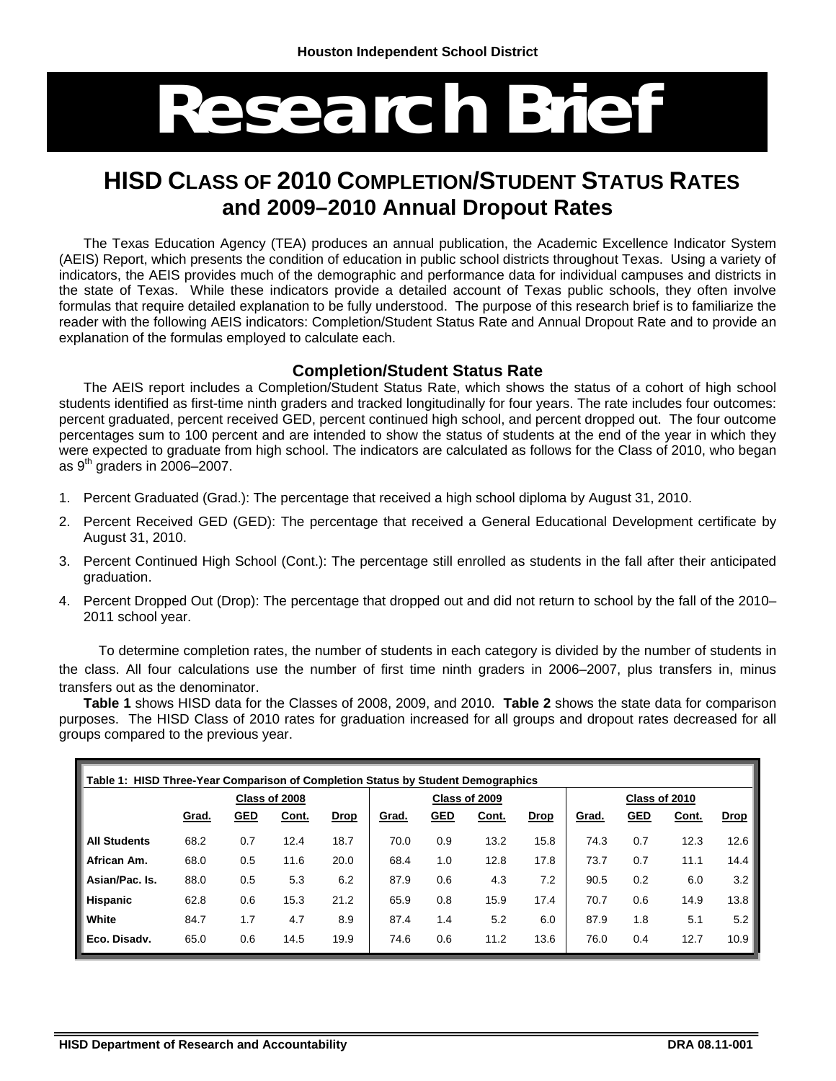# **Research Brief**

# **HISD CLASS OF 2010 COMPLETION/STUDENT STATUS RATES and 2009–2010 Annual Dropout Rates**

The Texas Education Agency (TEA) produces an annual publication, the Academic Excellence Indicator System (AEIS) Report, which presents the condition of education in public school districts throughout Texas. Using a variety of indicators, the AEIS provides much of the demographic and performance data for individual campuses and districts in the state of Texas. While these indicators provide a detailed account of Texas public schools, they often involve formulas that require detailed explanation to be fully understood. The purpose of this research brief is to familiarize the reader with the following AEIS indicators: Completion/Student Status Rate and Annual Dropout Rate and to provide an explanation of the formulas employed to calculate each.

#### **Completion/Student Status Rate**

The AEIS report includes a Completion/Student Status Rate, which shows the status of a cohort of high school students identified as first-time ninth graders and tracked longitudinally for four years. The rate includes four outcomes: percent graduated, percent received GED, percent continued high school, and percent dropped out. The four outcome percentages sum to 100 percent and are intended to show the status of students at the end of the year in which they were expected to graduate from high school. The indicators are calculated as follows for the Class of 2010, who began as  $9<sup>th</sup>$  graders in 2006–2007.

- 1. Percent Graduated (Grad.): The percentage that received a high school diploma by August 31, 2010.
- 2. Percent Received GED (GED): The percentage that received a General Educational Development certificate by August 31, 2010.
- 3. Percent Continued High School (Cont.): The percentage still enrolled as students in the fall after their anticipated graduation.
- 4. Percent Dropped Out (Drop): The percentage that dropped out and did not return to school by the fall of the 2010– 2011 school year.

 To determine completion rates, the number of students in each category is divided by the number of students in the class. All four calculations use the number of first time ninth graders in 2006–2007, plus transfers in, minus transfers out as the denominator.

**Table 1** shows HISD data for the Classes of 2008, 2009, and 2010. **Table 2** shows the state data for comparison purposes. The HISD Class of 2010 rates for graduation increased for all groups and dropout rates decreased for all groups compared to the previous year.

| Table 1: HISD Three-Year Comparison of Completion Status by Student Demographics |       |            |               |             |       |            |               |             |               |            |       |             |
|----------------------------------------------------------------------------------|-------|------------|---------------|-------------|-------|------------|---------------|-------------|---------------|------------|-------|-------------|
|                                                                                  |       |            | Class of 2008 |             |       |            | Class of 2009 |             | Class of 2010 |            |       |             |
|                                                                                  | Grad. | <b>GED</b> | Cont.         | <b>Drop</b> | Grad. | <b>GED</b> | Cont.         | <b>Drop</b> | Grad.         | <u>GED</u> | Cont. | <b>Drop</b> |
| <b>All Students</b>                                                              | 68.2  | 0.7        | 12.4          | 18.7        | 70.0  | 0.9        | 13.2          | 15.8        | 74.3          | 0.7        | 12.3  | 12.6        |
| African Am.                                                                      | 68.0  | 0.5        | 11.6          | 20.0        | 68.4  | 1.0        | 12.8          | 17.8        | 73.7          | 0.7        | 11.1  | 14.4        |
| Asian/Pac. Is.                                                                   | 88.0  | 0.5        | 5.3           | 6.2         | 87.9  | 0.6        | 4.3           | 7.2         | 90.5          | 0.2        | 6.0   | 3.2         |
| <b>Hispanic</b>                                                                  | 62.8  | 0.6        | 15.3          | 21.2        | 65.9  | 0.8        | 15.9          | 17.4        | 70.7          | 0.6        | 14.9  | 13.8        |
| White                                                                            | 84.7  | 1.7        | 4.7           | 8.9         | 87.4  | 1.4        | 5.2           | 6.0         | 87.9          | 1.8        | 5.1   | 5.2         |
| Eco. Disadv.                                                                     | 65.0  | 0.6        | 14.5          | 19.9        | 74.6  | 0.6        | 11.2          | 13.6        | 76.0          | 0.4        | 12.7  | 10.9        |